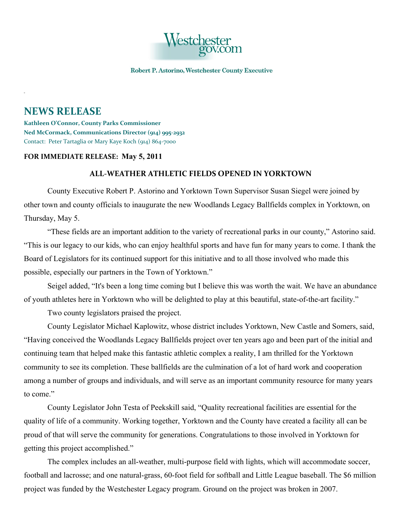

Robert P. Astorino, Westchester County Executive

## **NEWS RELEASE**

**Kathleen O'Connor, County Parks Commissioner Ned McCormack, Communications Director (914) 995-2932** Contact: Peter Tartaglia or Mary Kaye Koch (914) 864-7000

## **FOR IMMEDIATE RELEASE: May 5, 2011**

## **ALL-WEATHER ATHLETIC FIELDS OPENED IN YORKTOWN**

County Executive Robert P. Astorino and Yorktown Town Supervisor Susan Siegel were joined by other town and county officials to inaugurate the new Woodlands Legacy Ballfields complex in Yorktown, on Thursday, May 5.

"These fields are an important addition to the variety of recreational parks in our county," Astorino said. "This is our legacy to our kids, who can enjoy healthful sports and have fun for many years to come. I thank the Board of Legislators for its continued support for this initiative and to all those involved who made this possible, especially our partners in the Town of Yorktown."

Seigel added, "It's been a long time coming but I believe this was worth the wait. We have an abundance of youth athletes here in Yorktown who will be delighted to play at this beautiful, state-of-the-art facility."

Two county legislators praised the project.

County Legislator Michael Kaplowitz, whose district includes Yorktown, New Castle and Somers, said, "Having conceived the Woodlands Legacy Ballfields project over ten years ago and been part of the initial and continuing team that helped make this fantastic athletic complex a reality, I am thrilled for the Yorktown community to see its completion. These ballfields are the culmination of a lot of hard work and cooperation among a number of groups and individuals, and will serve as an important community resource for many years to come."

County Legislator John Testa of Peekskill said, "Quality recreational facilities are essential for the quality of life of a community. Working together, Yorktown and the County have created a facility all can be proud of that will serve the community for generations. Congratulations to those involved in Yorktown for getting this project accomplished."

The complex includes an all-weather, multi-purpose field with lights, which will accommodate soccer, football and lacrosse; and one natural-grass, 60-foot field for softball and Little League baseball. The \$6 million project was funded by the Westchester Legacy program. Ground on the project was broken in 2007.